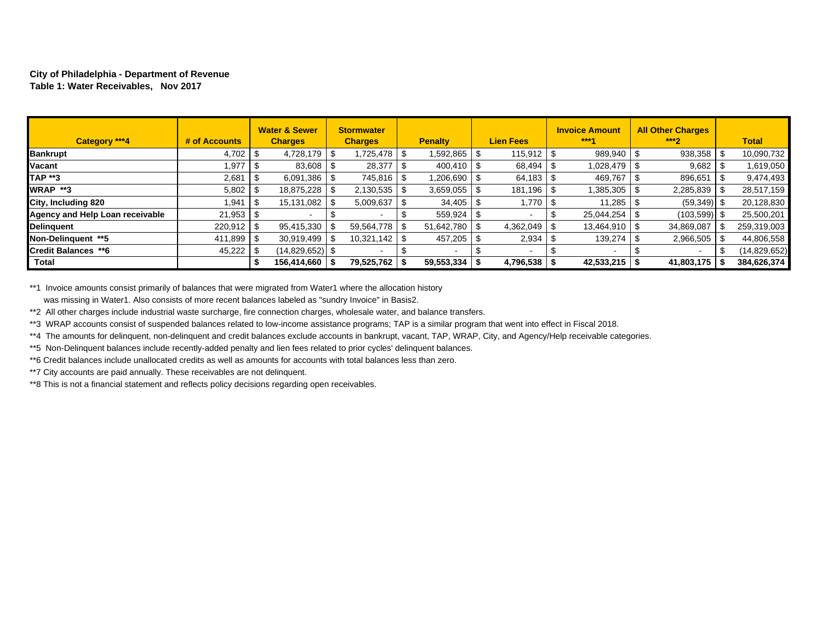#### **City of Philadelphia - Department of Revenue Table 1: Water Receivables, Nov 2017**

| Category ***4                   | # of Accounts |     | <b>Water &amp; Sewer</b><br><b>Charges</b> | <b>Stormwater</b><br><b>Charges</b> |      | <b>Penalty</b>           |      | <b>Lien Fees</b> | <b>Invoice Amount</b><br>$***1$ | <b>All Other Charges</b><br>$***2$ |    | <b>Total</b>   |
|---------------------------------|---------------|-----|--------------------------------------------|-------------------------------------|------|--------------------------|------|------------------|---------------------------------|------------------------------------|----|----------------|
| <b>Bankrupt</b>                 | $4,702$ \ \$  |     | $4,728,179$ \ \$                           | 1,725,478                           | - \$ | 1,592,865                | \$   | $115,912$ \ \$   | 989,940                         | 938,358                            | -S | 10,090,732     |
| Vacant                          | 1.977         |     | 83,608                                     | 28,377                              |      | $400,410$ \ \$           |      | 68,494           | 1.028.479                       | 9,682                              |    | 1,619,050      |
| <b>TAP **3</b>                  | 2,681         |     | 6,091,386                                  | 745,816                             |      | 1,206,690                |      | 64,183           | 469,767                         | 896,651                            |    | 9,474,493      |
| WRAP **3                        |               |     | 18,875,228                                 | 2,130,535                           |      | 3,659,055                | - \$ | 181,196   \$     | 1,385,305                       | 2,285,839                          |    | 28,517,159     |
| City, Including 820             | .941          | l S | 15,131,082                                 | 5,009,637                           |      | 34,405                   | - \$ | 1,770            | 11.285                          | $(59,349)$ \$                      |    | 20,128,830     |
| Agency and Help Loan receivable | $21,953$ \$   |     |                                            |                                     |      | 559,924                  | - \$ |                  | 25.044.254                      | $(103,599)$ \$                     |    | 25,500,201     |
| Delinguent                      | $220.912$ \$  |     | 95,415,330                                 | 59.564.778                          |      | 51.642.780               | - \$ | 4,362,049        | 13.464.910                      | 34,869,087                         |    | 259,319,003    |
| Non-Delinauent **5              | $411.899$ S   |     | 30.919.499                                 | 10,321,142                          |      | 457,205                  | - \$ | 2,934            | 139,274                         | 2,966,505                          |    | 44,806,558     |
| <b>Credit Balances **6</b>      |               |     | (14,829,652)   \$                          |                                     |      | $\overline{\phantom{a}}$ |      | $\blacksquare$   | $\overline{\phantom{a}}$        |                                    |    | (14, 829, 652) |
| Total                           |               |     | 156,414,660                                | 79,525,762                          |      | 59,553,334               |      | $4,796,538$   \$ | $42,533,215$   \$               | 41,803,175                         |    | 384,626,374    |

\*\*1 Invoice amounts consist primarily of balances that were migrated from Water1 where the allocation history was missing in Water1. Also consists of more recent balances labeled as "sundry Invoice" in Basis2.

\*\*2 All other charges include industrial waste surcharge, fire connection charges, wholesale water, and balance transfers.

\*\*3 WRAP accounts consist of suspended balances related to low-income assistance programs; TAP is a similar program that went into effect in Fiscal 2018.

\*\*4 The amounts for delinquent, non-delinquent and credit balances exclude accounts in bankrupt, vacant, TAP, WRAP, City, and Agency/Help receivable categories.

\*\*5 Non-Delinquent balances include recently-added penalty and lien fees related to prior cycles' delinquent balances.

\*\*6 Credit balances include unallocated credits as well as amounts for accounts with total balances less than zero.

\*\*7 City accounts are paid annually. These receivables are not delinquent.

\*\*8 This is not a financial statement and reflects policy decisions regarding open receivables.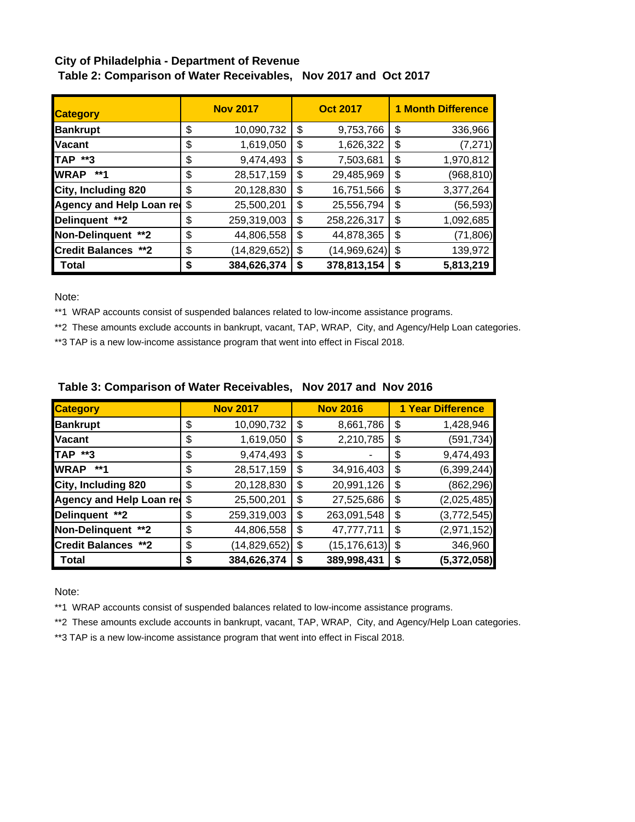# **City of Philadelphia - Department of Revenue Table 2: Comparison of Water Receivables, Nov 2017 and Oct 2017**

| <b>Category</b>               | <b>Nov 2017</b>      |    | <b>Oct 2017</b> | <b>1 Month Difference</b> |  |  |  |  |
|-------------------------------|----------------------|----|-----------------|---------------------------|--|--|--|--|
| <b>Bankrupt</b>               | \$<br>10,090,732     | \$ | 9,753,766       | \$<br>336,966             |  |  |  |  |
| <b>Nacant</b>                 | \$<br>1,619,050      | \$ | 1,626,322       | \$<br>(7, 271)            |  |  |  |  |
| <b>TAP **3</b>                | \$<br>9,474,493      | \$ | 7,503,681       | \$<br>1,970,812           |  |  |  |  |
| <b>I</b> WRAP<br>**1          | \$<br>28,517,159     | \$ | 29,485,969      | \$<br>(968, 810)          |  |  |  |  |
| City, Including 820           | \$<br>20,128,830     | \$ | 16,751,566      | \$<br>3,377,264           |  |  |  |  |
| Agency and Help Loan red      | \$<br>25,500,201     | S  | 25,556,794      | \$<br>(56, 593)           |  |  |  |  |
| Delinquent **2                | \$<br>259,319,003    | \$ | 258,226,317     | \$<br>1,092,685           |  |  |  |  |
| Non-Delinquent **2            | \$<br>44,806,558     | \$ | 44,878,365      | \$<br>(71, 806)           |  |  |  |  |
| <b>Credit Balances</b><br>**2 | \$<br>(14, 829, 652) | \$ | (14,969,624)    | \$<br>139,972             |  |  |  |  |
| <b>Total</b>                  | \$<br>384,626,374    | S  | 378,813,154     | \$<br>5,813,219           |  |  |  |  |

Note:

\*\*1 WRAP accounts consist of suspended balances related to low-income assistance programs.

\*\*2 These amounts exclude accounts in bankrupt, vacant, TAP, WRAP, City, and Agency/Help Loan categories.

\*\*3 TAP is a new low-income assistance program that went into effect in Fiscal 2018.

| <b>Category</b>             |    | <b>Nov 2017</b> |    | <b>Nov 2016</b> | <b>1 Year Difference</b> |
|-----------------------------|----|-----------------|----|-----------------|--------------------------|
| <b>Bankrupt</b>             | \$ | 10,090,732      | \$ | 8,661,786       | \$<br>1,428,946          |
| <b>Vacant</b>               | \$ | 1,619,050       | \$ | 2,210,785       | \$<br>(591, 734)         |
| <b>TAP **3</b>              | \$ | 9,474,493       | \$ |                 | \$<br>9,474,493          |
| <b>WRAP</b><br>**1          | \$ | 28,517,159      | \$ | 34,916,403      | \$<br>(6, 399, 244)      |
| City, Including 820         | \$ | 20,128,830      | \$ | 20,991,126      | \$<br>(862, 296)         |
| Agency and Help Loan red \$ |    | 25,500,201      | \$ | 27,525,686      | \$<br>(2,025,485)        |
| Delinquent **2              | \$ | 259,319,003     | \$ | 263,091,548     | \$<br>(3,772,545)        |
| Non-Delinquent **2          | \$ | 44,806,558      | \$ | 47,777,711      | \$<br>(2,971,152)        |
| <b>Credit Balances **2</b>  | \$ | (14, 829, 652)  | \$ | (15, 176, 613)  | \$<br>346,960            |
| <b>Total</b>                | S  | 384,626,374     | S  | 389,998,431     | \$<br>(5,372,058)        |

## **Table 3: Comparison of Water Receivables, Nov 2017 and Nov 2016**

Note:

\*\*1 WRAP accounts consist of suspended balances related to low-income assistance programs.

\*\*2 These amounts exclude accounts in bankrupt, vacant, TAP, WRAP, City, and Agency/Help Loan categories.

\*\*3 TAP is a new low-income assistance program that went into effect in Fiscal 2018.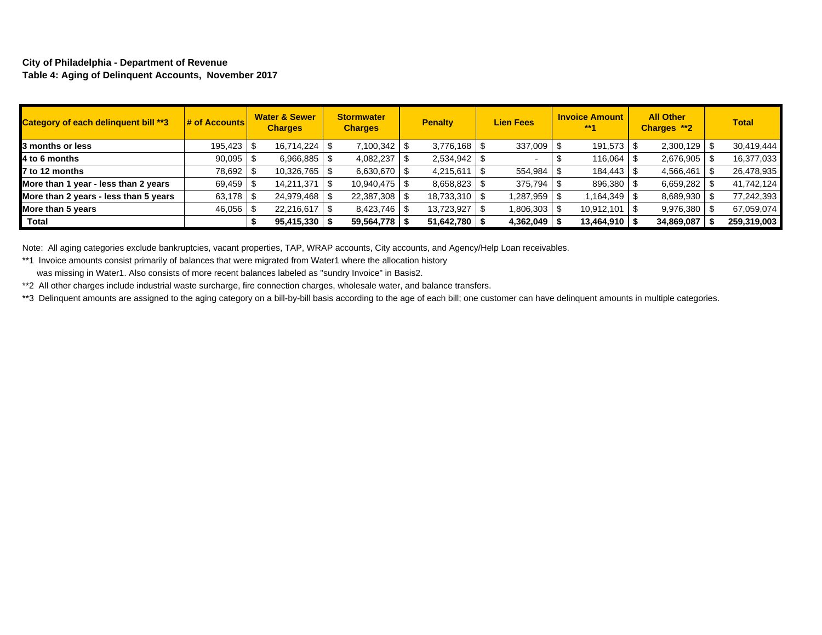#### **City of Philadelphia - Department of Revenue Table 4: Aging of Delinquent Accounts, November 2017**

| <b>Category of each delinguent bill **3</b> | $\frac{1}{2}$ of Accounts | <b>Water &amp; Sewer</b><br><b>Charges</b> | <b>Stormwater</b><br><b>Charges</b> | <b>Penalty</b>  | <b>Lien Fees</b> | <b>Invoice Amount</b><br>$***1$ | <b>All Other</b><br>Charges **2 | <b>Total</b> |
|---------------------------------------------|---------------------------|--------------------------------------------|-------------------------------------|-----------------|------------------|---------------------------------|---------------------------------|--------------|
| 3 months or less                            | 195,423 \$                | 16,714,224   \$                            | 7,100,342                           |                 | 337,009 \$       | $191,573$ $\frac{1}{3}$         | 2,300,129                       | 30,419,444   |
| 4 to 6 months                               | 90,095                    | $6,966,885$ \$                             | 4,082,237                           | 2,534,942       |                  | 116,064                         | 2,676,905                       | 16,377,033   |
| 7 to 12 months                              | 78,692 \$                 | 10,326,765 \$                              | 6,630,670 \$                        | 4,215,611       | 554,984          | 184,443 \$                      | 4,566,461                       | 26,478,935   |
| More than 1 year - less than 2 years        | 69,459 \$                 | 14,211,371                                 | 10,940,475                          | 8,658,823       | 375,794          | 896,380 \$                      | 6,659,282                       | 41,742,124   |
| More than 2 years - less than 5 years       | 63,178 \$                 | 24,979,468 \$                              | 22,387,308                          | 18,733,310 \$   | 1,287,959        | $.164,349$ \$                   | 8,689,930                       | 77,242,393   |
| More than 5 years                           | 46,056 \$                 | 22,216,617                                 | 8,423,746                           | 13,723,927      | 1,806,303 \$     | $10,912,101$ \ \$               | $9,976,380$ \$                  | 67,059,074   |
| Total                                       |                           | $95,415,330$   \$                          | 59,564,778                          | 51,642,780   \$ | 4,362,049        | 13,464,910                      | 34,869,087                      | 259,319,003  |

Note: All aging categories exclude bankruptcies, vacant properties, TAP, WRAP accounts, City accounts, and Agency/Help Loan receivables.

\*\*1 Invoice amounts consist primarily of balances that were migrated from Water1 where the allocation history

was missing in Water1. Also consists of more recent balances labeled as "sundry Invoice" in Basis2.

\*\*2 All other charges include industrial waste surcharge, fire connection charges, wholesale water, and balance transfers.

\*\*3 Delinquent amounts are assigned to the aging category on a bill-by-bill basis according to the age of each bill; one customer can have delinquent amounts in multiple categories.